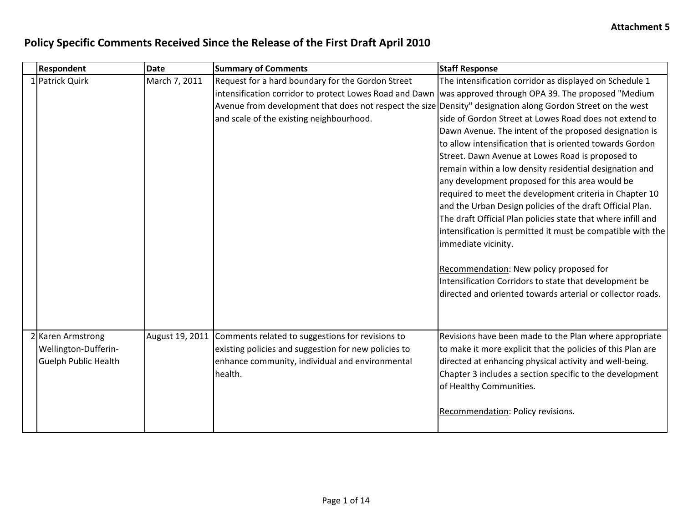| <b>Respondent</b>           | <b>Date</b>   | <b>Summary of Comments</b>                                                                                  | <b>Staff Response</b>                                        |
|-----------------------------|---------------|-------------------------------------------------------------------------------------------------------------|--------------------------------------------------------------|
| 1 Patrick Quirk             | March 7, 2011 | Request for a hard boundary for the Gordon Street                                                           | The intensification corridor as displayed on Schedule 1      |
|                             |               | intensification corridor to protect Lowes Road and Dawn                                                     | was approved through OPA 39. The proposed "Medium            |
|                             |               | Avenue from development that does not respect the size Density" designation along Gordon Street on the west |                                                              |
|                             |               | and scale of the existing neighbourhood.                                                                    | side of Gordon Street at Lowes Road does not extend to       |
|                             |               |                                                                                                             | Dawn Avenue. The intent of the proposed designation is       |
|                             |               |                                                                                                             | to allow intensification that is oriented towards Gordon     |
|                             |               |                                                                                                             | Street. Dawn Avenue at Lowes Road is proposed to             |
|                             |               |                                                                                                             | remain within a low density residential designation and      |
|                             |               |                                                                                                             | any development proposed for this area would be              |
|                             |               |                                                                                                             | required to meet the development criteria in Chapter 10      |
|                             |               |                                                                                                             | and the Urban Design policies of the draft Official Plan.    |
|                             |               |                                                                                                             | The draft Official Plan policies state that where infill and |
|                             |               |                                                                                                             | intensification is permitted it must be compatible with the  |
|                             |               |                                                                                                             | immediate vicinity.                                          |
|                             |               |                                                                                                             | Recommendation: New policy proposed for                      |
|                             |               |                                                                                                             | Intensification Corridors to state that development be       |
|                             |               |                                                                                                             | directed and oriented towards arterial or collector roads.   |
|                             |               |                                                                                                             |                                                              |
| 2 Karen Armstrong           |               | August 19, 2011 Comments related to suggestions for revisions to                                            | Revisions have been made to the Plan where appropriate       |
| Wellington-Dufferin-        |               | existing policies and suggestion for new policies to                                                        | to make it more explicit that the policies of this Plan are  |
| <b>Guelph Public Health</b> |               | enhance community, individual and environmental                                                             | directed at enhancing physical activity and well-being.      |
|                             |               | health.                                                                                                     | Chapter 3 includes a section specific to the development     |
|                             |               |                                                                                                             | of Healthy Communities.                                      |
|                             |               |                                                                                                             |                                                              |
|                             |               |                                                                                                             | Recommendation: Policy revisions.                            |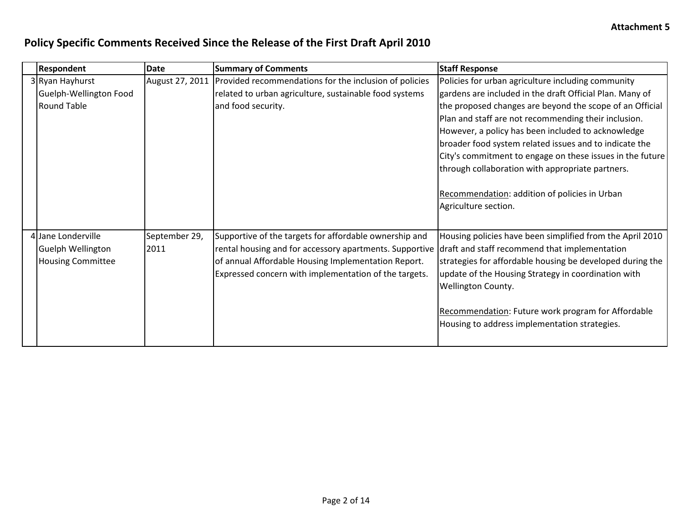| <b>Respondent</b>        | Date            | <b>Summary of Comments</b>                              | <b>Staff Response</b>                                     |
|--------------------------|-----------------|---------------------------------------------------------|-----------------------------------------------------------|
| 3 Ryan Hayhurst          | August 27, 2011 | Provided recommendations for the inclusion of policies  | Policies for urban agriculture including community        |
| Guelph-Wellington Food   |                 | related to urban agriculture, sustainable food systems  | gardens are included in the draft Official Plan. Many of  |
| <b>Round Table</b>       |                 | and food security.                                      | the proposed changes are beyond the scope of an Official  |
|                          |                 |                                                         | Plan and staff are not recommending their inclusion.      |
|                          |                 |                                                         | However, a policy has been included to acknowledge        |
|                          |                 |                                                         | broader food system related issues and to indicate the    |
|                          |                 |                                                         | City's commitment to engage on these issues in the future |
|                          |                 |                                                         | through collaboration with appropriate partners.          |
|                          |                 |                                                         |                                                           |
|                          |                 |                                                         | Recommendation: addition of policies in Urban             |
|                          |                 |                                                         | Agriculture section.                                      |
|                          |                 |                                                         |                                                           |
| 4 Jane Londerville       | September 29,   | Supportive of the targets for affordable ownership and  | Housing policies have been simplified from the April 2010 |
| <b>Guelph Wellington</b> | 2011            | rental housing and for accessory apartments. Supportive | draft and staff recommend that implementation             |
| <b>Housing Committee</b> |                 | of annual Affordable Housing Implementation Report.     | strategies for affordable housing be developed during the |
|                          |                 | Expressed concern with implementation of the targets.   | update of the Housing Strategy in coordination with       |
|                          |                 |                                                         | Wellington County.                                        |
|                          |                 |                                                         |                                                           |
|                          |                 |                                                         | Recommendation: Future work program for Affordable        |
|                          |                 |                                                         | Housing to address implementation strategies.             |
|                          |                 |                                                         |                                                           |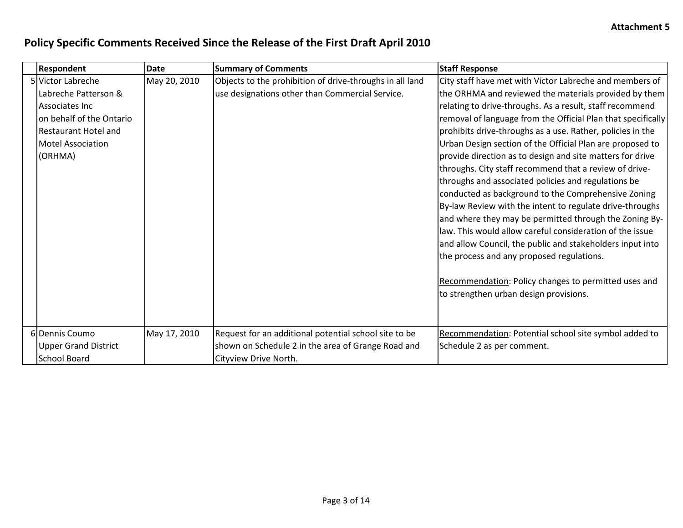| <b>Respondent</b>           | <b>Date</b>  | <b>Summary of Comments</b>                               | <b>Staff Response</b>                                        |
|-----------------------------|--------------|----------------------------------------------------------|--------------------------------------------------------------|
| 5 Victor Labreche           | May 20, 2010 | Objects to the prohibition of drive-throughs in all land | City staff have met with Victor Labreche and members of      |
| Labreche Patterson &        |              | use designations other than Commercial Service.          | the ORHMA and reviewed the materials provided by them        |
| Associates Inc              |              |                                                          | relating to drive-throughs. As a result, staff recommend     |
| on behalf of the Ontario    |              |                                                          | removal of language from the Official Plan that specifically |
| <b>Restaurant Hotel and</b> |              |                                                          | prohibits drive-throughs as a use. Rather, policies in the   |
| <b>Motel Association</b>    |              |                                                          | Urban Design section of the Official Plan are proposed to    |
| (ORHMA)                     |              |                                                          | provide direction as to design and site matters for drive    |
|                             |              |                                                          | throughs. City staff recommend that a review of drive-       |
|                             |              |                                                          | throughs and associated policies and regulations be          |
|                             |              |                                                          | conducted as background to the Comprehensive Zoning          |
|                             |              |                                                          | By-law Review with the intent to regulate drive-throughs     |
|                             |              |                                                          | and where they may be permitted through the Zoning By-       |
|                             |              |                                                          | law. This would allow careful consideration of the issue     |
|                             |              |                                                          | and allow Council, the public and stakeholders input into    |
|                             |              |                                                          | the process and any proposed regulations.                    |
|                             |              |                                                          | Recommendation: Policy changes to permitted uses and         |
|                             |              |                                                          | to strengthen urban design provisions.                       |
|                             |              |                                                          |                                                              |
|                             |              |                                                          |                                                              |
| 6 Dennis Coumo              | May 17, 2010 | Request for an additional potential school site to be    | Recommendation: Potential school site symbol added to        |
| <b>Upper Grand District</b> |              | shown on Schedule 2 in the area of Grange Road and       | Schedule 2 as per comment.                                   |
| <b>School Board</b>         |              | Cityview Drive North.                                    |                                                              |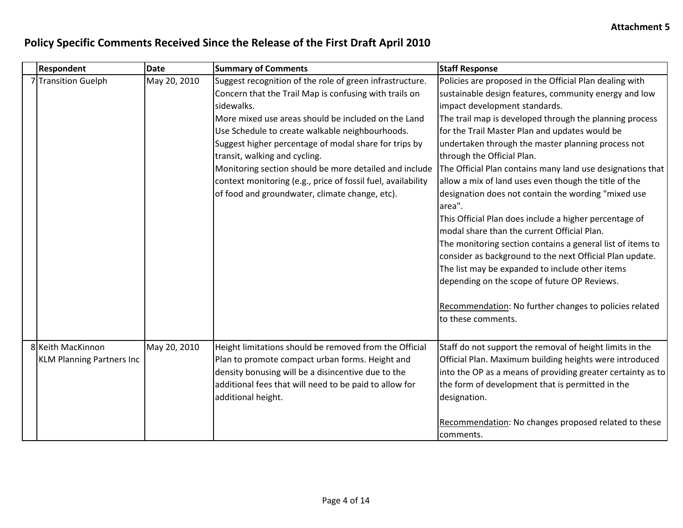| <b>Respondent</b>                | <b>Date</b>  | <b>Summary of Comments</b>                                   | <b>Staff Response</b>                                       |
|----------------------------------|--------------|--------------------------------------------------------------|-------------------------------------------------------------|
| 7 Transition Guelph              | May 20, 2010 | Suggest recognition of the role of green infrastructure.     | Policies are proposed in the Official Plan dealing with     |
|                                  |              | Concern that the Trail Map is confusing with trails on       | sustainable design features, community energy and low       |
|                                  |              | sidewalks.                                                   | impact development standards.                               |
|                                  |              | More mixed use areas should be included on the Land          | The trail map is developed through the planning process     |
|                                  |              | Use Schedule to create walkable neighbourhoods.              | for the Trail Master Plan and updates would be              |
|                                  |              | Suggest higher percentage of modal share for trips by        | undertaken through the master planning process not          |
|                                  |              | transit, walking and cycling.                                | through the Official Plan.                                  |
|                                  |              | Monitoring section should be more detailed and include       | The Official Plan contains many land use designations that  |
|                                  |              | context monitoring (e.g., price of fossil fuel, availability | allow a mix of land uses even though the title of the       |
|                                  |              | of food and groundwater, climate change, etc).               | designation does not contain the wording "mixed use         |
|                                  |              |                                                              | area".                                                      |
|                                  |              |                                                              | This Official Plan does include a higher percentage of      |
|                                  |              |                                                              | modal share than the current Official Plan.                 |
|                                  |              |                                                              | The monitoring section contains a general list of items to  |
|                                  |              |                                                              | consider as background to the next Official Plan update.    |
|                                  |              |                                                              | The list may be expanded to include other items             |
|                                  |              |                                                              | depending on the scope of future OP Reviews.                |
|                                  |              |                                                              |                                                             |
|                                  |              |                                                              | Recommendation: No further changes to policies related      |
|                                  |              |                                                              | to these comments.                                          |
|                                  |              |                                                              |                                                             |
| 8 Keith MacKinnon                | May 20, 2010 | Height limitations should be removed from the Official       | Staff do not support the removal of height limits in the    |
| <b>KLM Planning Partners Inc</b> |              | Plan to promote compact urban forms. Height and              | Official Plan. Maximum building heights were introduced     |
|                                  |              | density bonusing will be a disincentive due to the           | into the OP as a means of providing greater certainty as to |
|                                  |              | additional fees that will need to be paid to allow for       | the form of development that is permitted in the            |
|                                  |              | additional height.                                           | designation.                                                |
|                                  |              |                                                              |                                                             |
|                                  |              |                                                              | Recommendation: No changes proposed related to these        |
|                                  |              |                                                              | comments.                                                   |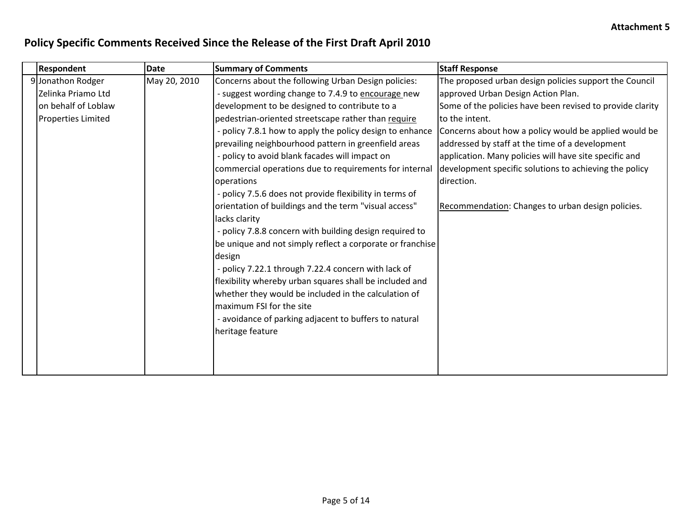| <b>Respondent</b>         | <b>Date</b>  | <b>Summary of Comments</b>                                | <b>Staff Response</b>                                     |
|---------------------------|--------------|-----------------------------------------------------------|-----------------------------------------------------------|
| 9 Jonathon Rodger         | May 20, 2010 | Concerns about the following Urban Design policies:       | The proposed urban design policies support the Council    |
| Zelinka Priamo Ltd        |              | - suggest wording change to 7.4.9 to encourage new        | approved Urban Design Action Plan.                        |
| on behalf of Loblaw       |              | development to be designed to contribute to a             | Some of the policies have been revised to provide clarity |
| <b>Properties Limited</b> |              | pedestrian-oriented streetscape rather than require       | to the intent.                                            |
|                           |              | - policy 7.8.1 how to apply the policy design to enhance  | Concerns about how a policy would be applied would be     |
|                           |              | prevailing neighbourhood pattern in greenfield areas      | addressed by staff at the time of a development           |
|                           |              | - policy to avoid blank facades will impact on            | application. Many policies will have site specific and    |
|                           |              | commercial operations due to requirements for internal    | development specific solutions to achieving the policy    |
|                           |              | operations                                                | direction.                                                |
|                           |              | - policy 7.5.6 does not provide flexibility in terms of   |                                                           |
|                           |              | orientation of buildings and the term "visual access"     | Recommendation: Changes to urban design policies.         |
|                           |              | lacks clarity                                             |                                                           |
|                           |              | - policy 7.8.8 concern with building design required to   |                                                           |
|                           |              | be unique and not simply reflect a corporate or franchise |                                                           |
|                           |              | design                                                    |                                                           |
|                           |              | - policy 7.22.1 through 7.22.4 concern with lack of       |                                                           |
|                           |              | flexibility whereby urban squares shall be included and   |                                                           |
|                           |              | whether they would be included in the calculation of      |                                                           |
|                           |              | maximum FSI for the site                                  |                                                           |
|                           |              | - avoidance of parking adjacent to buffers to natural     |                                                           |
|                           |              | heritage feature                                          |                                                           |
|                           |              |                                                           |                                                           |
|                           |              |                                                           |                                                           |
|                           |              |                                                           |                                                           |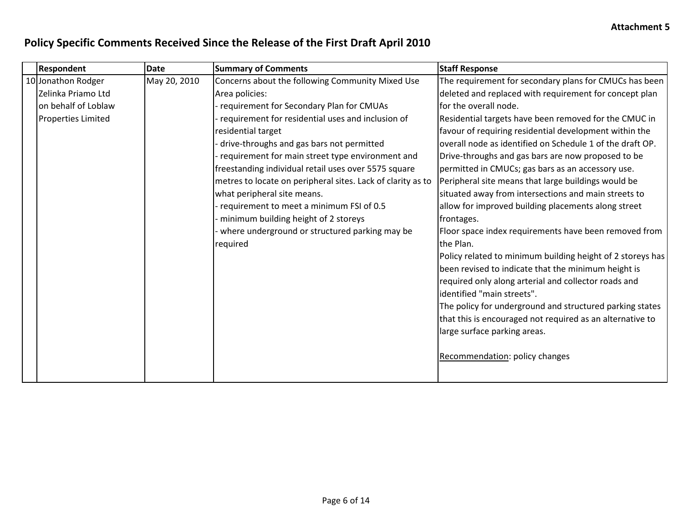| <b>Respondent</b>         | <b>Date</b>  | <b>Summary of Comments</b>                                  | <b>Staff Response</b>                                      |
|---------------------------|--------------|-------------------------------------------------------------|------------------------------------------------------------|
| 10 Jonathon Rodger        | May 20, 2010 | Concerns about the following Community Mixed Use            | The requirement for secondary plans for CMUCs has been     |
| Zelinka Priamo Ltd        |              | Area policies:                                              | deleted and replaced with requirement for concept plan     |
| on behalf of Loblaw       |              | requirement for Secondary Plan for CMUAs                    | for the overall node.                                      |
| <b>Properties Limited</b> |              | requirement for residential uses and inclusion of           | Residential targets have been removed for the CMUC in      |
|                           |              | residential target                                          | favour of requiring residential development within the     |
|                           |              | drive-throughs and gas bars not permitted                   | overall node as identified on Schedule 1 of the draft OP.  |
|                           |              | requirement for main street type environment and            | Drive-throughs and gas bars are now proposed to be         |
|                           |              | freestanding individual retail uses over 5575 square        | permitted in CMUCs; gas bars as an accessory use.          |
|                           |              | metres to locate on peripheral sites. Lack of clarity as to | Peripheral site means that large buildings would be        |
|                           |              | what peripheral site means.                                 | situated away from intersections and main streets to       |
|                           |              | requirement to meet a minimum FSI of 0.5                    | allow for improved building placements along street        |
|                           |              | minimum building height of 2 storeys                        | frontages.                                                 |
|                           |              | where underground or structured parking may be              | Floor space index requirements have been removed from      |
|                           |              | required                                                    | the Plan.                                                  |
|                           |              |                                                             | Policy related to minimum building height of 2 storeys has |
|                           |              |                                                             | been revised to indicate that the minimum height is        |
|                           |              |                                                             | required only along arterial and collector roads and       |
|                           |              |                                                             | lidentified "main streets".                                |
|                           |              |                                                             | The policy for underground and structured parking states   |
|                           |              |                                                             | that this is encouraged not required as an alternative to  |
|                           |              |                                                             | large surface parking areas.                               |
|                           |              |                                                             |                                                            |
|                           |              |                                                             | Recommendation: policy changes                             |
|                           |              |                                                             |                                                            |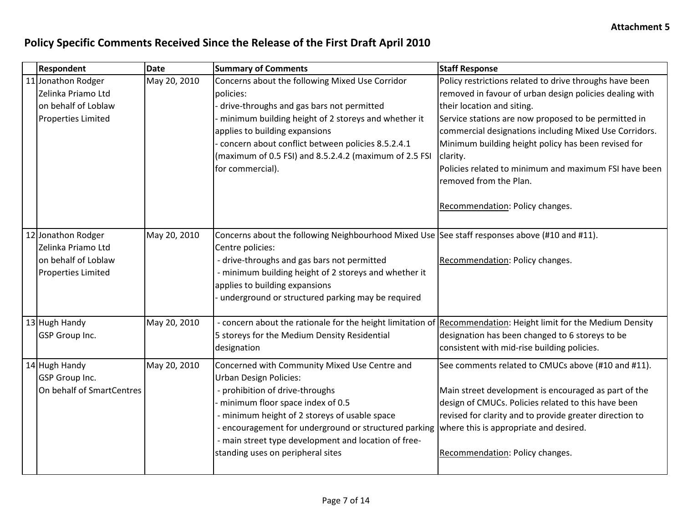| <b>Respondent</b>                                                                            | <b>Date</b>  | <b>Summary of Comments</b>                                                                                                                                                                                                                                                                                                                                                                          | <b>Staff Response</b>                                                                                                                                                                                                                                                                                                                                                                                                                                       |
|----------------------------------------------------------------------------------------------|--------------|-----------------------------------------------------------------------------------------------------------------------------------------------------------------------------------------------------------------------------------------------------------------------------------------------------------------------------------------------------------------------------------------------------|-------------------------------------------------------------------------------------------------------------------------------------------------------------------------------------------------------------------------------------------------------------------------------------------------------------------------------------------------------------------------------------------------------------------------------------------------------------|
| 11 Jonathon Rodger<br>Zelinka Priamo Ltd<br>on behalf of Loblaw<br><b>Properties Limited</b> | May 20, 2010 | Concerns about the following Mixed Use Corridor<br>policies:<br>drive-throughs and gas bars not permitted<br>minimum building height of 2 storeys and whether it<br>applies to building expansions<br>concern about conflict between policies 8.5.2.4.1<br>(maximum of 0.5 FSI) and 8.5.2.4.2 (maximum of 2.5 FSI<br>for commercial).                                                               | Policy restrictions related to drive throughs have been<br>removed in favour of urban design policies dealing with<br>their location and siting.<br>Service stations are now proposed to be permitted in<br>commercial designations including Mixed Use Corridors.<br>Minimum building height policy has been revised for<br>clarity.<br>Policies related to minimum and maximum FSI have been<br>removed from the Plan.<br>Recommendation: Policy changes. |
| 12 Jonathon Rodger<br>Zelinka Priamo Ltd<br>on behalf of Loblaw<br><b>Properties Limited</b> | May 20, 2010 | Concerns about the following Neighbourhood Mixed Use See staff responses above (#10 and #11).<br>Centre policies:<br>- drive-throughs and gas bars not permitted<br>- minimum building height of 2 storeys and whether it<br>applies to building expansions<br>underground or structured parking may be required                                                                                    | Recommendation: Policy changes.                                                                                                                                                                                                                                                                                                                                                                                                                             |
| 13 Hugh Handy<br><b>GSP</b> Group Inc.                                                       | May 20, 2010 | - concern about the rationale for the height limitation of<br>5 storeys for the Medium Density Residential<br>designation                                                                                                                                                                                                                                                                           | Recommendation: Height limit for the Medium Density<br>designation has been changed to 6 storeys to be<br>consistent with mid-rise building policies.                                                                                                                                                                                                                                                                                                       |
| 14 Hugh Handy<br><b>GSP</b> Group Inc.<br>On behalf of SmartCentres                          | May 20, 2010 | Concerned with Community Mixed Use Centre and<br><b>Urban Design Policies:</b><br>- prohibition of drive-throughs<br>minimum floor space index of 0.5<br>- minimum height of 2 storeys of usable space<br>- encouragement for underground or structured parking where this is appropriate and desired.<br>- main street type development and location of free-<br>standing uses on peripheral sites | See comments related to CMUCs above (#10 and #11).<br>Main street development is encouraged as part of the<br>design of CMUCs. Policies related to this have been<br>revised for clarity and to provide greater direction to<br>Recommendation: Policy changes.                                                                                                                                                                                             |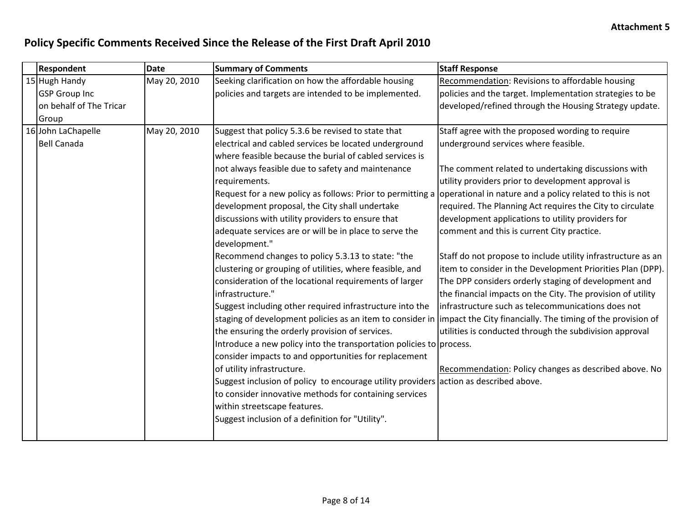| Recommendation: Revisions to affordable housing<br>policies and the target. Implementation strategies to be<br>developed/refined through the Housing Strategy update.<br>Staff agree with the proposed wording to require |
|---------------------------------------------------------------------------------------------------------------------------------------------------------------------------------------------------------------------------|
|                                                                                                                                                                                                                           |
|                                                                                                                                                                                                                           |
|                                                                                                                                                                                                                           |
|                                                                                                                                                                                                                           |
|                                                                                                                                                                                                                           |
|                                                                                                                                                                                                                           |
|                                                                                                                                                                                                                           |
| The comment related to undertaking discussions with                                                                                                                                                                       |
| utility providers prior to development approval is                                                                                                                                                                        |
| Request for a new policy as follows: Prior to permitting a opperational in nature and a policy related to this is not                                                                                                     |
| required. The Planning Act requires the City to circulate                                                                                                                                                                 |
| development applications to utility providers for                                                                                                                                                                         |
|                                                                                                                                                                                                                           |
|                                                                                                                                                                                                                           |
| Staff do not propose to include utility infrastructure as an                                                                                                                                                              |
| item to consider in the Development Priorities Plan (DPP).                                                                                                                                                                |
| The DPP considers orderly staging of development and                                                                                                                                                                      |
| the financial impacts on the City. The provision of utility                                                                                                                                                               |
| infrastructure such as telecommunications does not                                                                                                                                                                        |
| staging of development policies as an item to consider in  impact the City financially. The timing of the provision of                                                                                                    |
| utilities is conducted through the subdivision approval                                                                                                                                                                   |
|                                                                                                                                                                                                                           |
|                                                                                                                                                                                                                           |
| Recommendation: Policy changes as described above. No                                                                                                                                                                     |
|                                                                                                                                                                                                                           |
|                                                                                                                                                                                                                           |
|                                                                                                                                                                                                                           |
|                                                                                                                                                                                                                           |
|                                                                                                                                                                                                                           |
| comment and this is current City practice.                                                                                                                                                                                |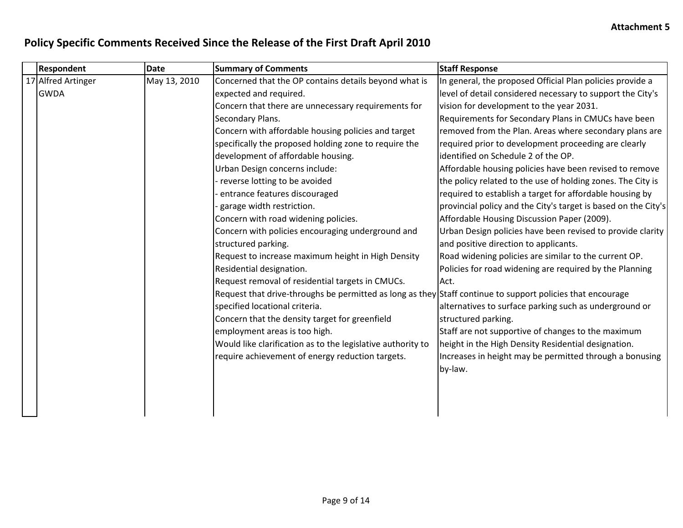| In general, the proposed Official Plan policies provide a                                                  |
|------------------------------------------------------------------------------------------------------------|
| level of detail considered necessary to support the City's                                                 |
| vision for development to the year 2031.                                                                   |
| Requirements for Secondary Plans in CMUCs have been                                                        |
| removed from the Plan. Areas where secondary plans are                                                     |
| required prior to development proceeding are clearly                                                       |
| identified on Schedule 2 of the OP.                                                                        |
| Affordable housing policies have been revised to remove                                                    |
| the policy related to the use of holding zones. The City is                                                |
| required to establish a target for affordable housing by                                                   |
| provincial policy and the City's target is based on the City's                                             |
| Affordable Housing Discussion Paper (2009).                                                                |
| Urban Design policies have been revised to provide clarity                                                 |
| and positive direction to applicants.                                                                      |
| Road widening policies are similar to the current OP.                                                      |
| Policies for road widening are required by the Planning                                                    |
|                                                                                                            |
| Request that drive-throughs be permitted as long as they Staff continue to support policies that encourage |
| alternatives to surface parking such as underground or                                                     |
|                                                                                                            |
| Staff are not supportive of changes to the maximum                                                         |
| height in the High Density Residential designation.                                                        |
| Increases in height may be permitted through a bonusing                                                    |
|                                                                                                            |
|                                                                                                            |
|                                                                                                            |
|                                                                                                            |
|                                                                                                            |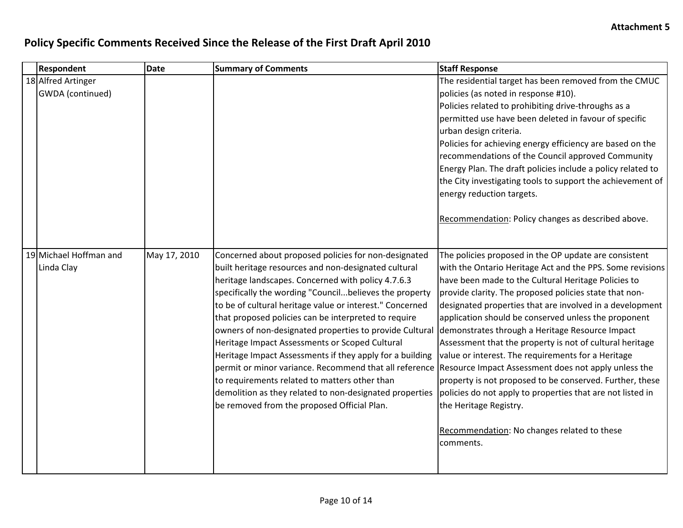| <b>Respondent</b>                      | <b>Date</b>  | <b>Summary of Comments</b>                                                                                                                                                                                                                                                                                                                                                                                                                                                                                                                                                                                                                                                                                                                                                                                                                          | <b>Staff Response</b>                                                                                                                                                                                                                                                                                                                                                                                                                                                                                                                                                                                                                                                                     |
|----------------------------------------|--------------|-----------------------------------------------------------------------------------------------------------------------------------------------------------------------------------------------------------------------------------------------------------------------------------------------------------------------------------------------------------------------------------------------------------------------------------------------------------------------------------------------------------------------------------------------------------------------------------------------------------------------------------------------------------------------------------------------------------------------------------------------------------------------------------------------------------------------------------------------------|-------------------------------------------------------------------------------------------------------------------------------------------------------------------------------------------------------------------------------------------------------------------------------------------------------------------------------------------------------------------------------------------------------------------------------------------------------------------------------------------------------------------------------------------------------------------------------------------------------------------------------------------------------------------------------------------|
| 18 Alfred Artinger<br>GWDA (continued) |              |                                                                                                                                                                                                                                                                                                                                                                                                                                                                                                                                                                                                                                                                                                                                                                                                                                                     | The residential target has been removed from the CMUC<br>policies (as noted in response #10).<br>Policies related to prohibiting drive-throughs as a<br>permitted use have been deleted in favour of specific<br>urban design criteria.<br>Policies for achieving energy efficiency are based on the<br>recommendations of the Council approved Community<br>Energy Plan. The draft policies include a policy related to<br>the City investigating tools to support the achievement of<br>energy reduction targets.<br>Recommendation: Policy changes as described above.                                                                                                                 |
| 19 Michael Hoffman and<br>Linda Clay   | May 17, 2010 | Concerned about proposed policies for non-designated<br>built heritage resources and non-designated cultural<br>heritage landscapes. Concerned with policy 4.7.6.3<br>specifically the wording "Councilbelieves the property<br>to be of cultural heritage value or interest." Concerned<br>that proposed policies can be interpreted to require<br>owners of non-designated properties to provide Cultural demonstrates through a Heritage Resource Impact<br>Heritage Impact Assessments or Scoped Cultural<br>Heritage Impact Assessments if they apply for a building<br>permit or minor variance. Recommend that all reference Resource Impact Assessment does not apply unless the<br>to requirements related to matters other than<br>demolition as they related to non-designated properties<br>be removed from the proposed Official Plan. | The policies proposed in the OP update are consistent<br>with the Ontario Heritage Act and the PPS. Some revisions<br>have been made to the Cultural Heritage Policies to<br>provide clarity. The proposed policies state that non-<br>designated properties that are involved in a development<br>application should be conserved unless the proponent<br>Assessment that the property is not of cultural heritage<br>value or interest. The requirements for a Heritage<br>property is not proposed to be conserved. Further, these<br>policies do not apply to properties that are not listed in<br>the Heritage Registry.<br>Recommendation: No changes related to these<br>comments. |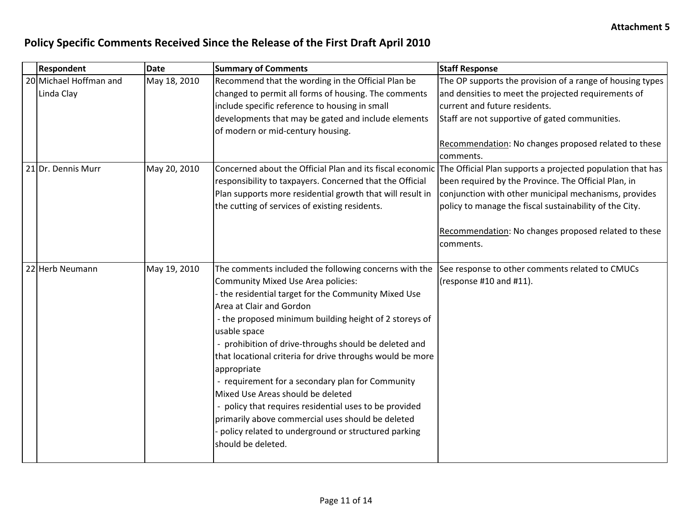| Respondent                           | <b>Date</b>  | <b>Summary of Comments</b>                                                                                                                                                                                                                                                                                                                                                                                                                                                                                                                                                                                                                                                           | <b>Staff Response</b>                                                                                                                                                                                                                                                                                                                                                 |
|--------------------------------------|--------------|--------------------------------------------------------------------------------------------------------------------------------------------------------------------------------------------------------------------------------------------------------------------------------------------------------------------------------------------------------------------------------------------------------------------------------------------------------------------------------------------------------------------------------------------------------------------------------------------------------------------------------------------------------------------------------------|-----------------------------------------------------------------------------------------------------------------------------------------------------------------------------------------------------------------------------------------------------------------------------------------------------------------------------------------------------------------------|
| 20 Michael Hoffman and<br>Linda Clay | May 18, 2010 | Recommend that the wording in the Official Plan be<br>changed to permit all forms of housing. The comments<br>include specific reference to housing in small                                                                                                                                                                                                                                                                                                                                                                                                                                                                                                                         | The OP supports the provision of a range of housing types<br>and densities to meet the projected requirements of<br>current and future residents.                                                                                                                                                                                                                     |
|                                      |              | developments that may be gated and include elements<br>of modern or mid-century housing.                                                                                                                                                                                                                                                                                                                                                                                                                                                                                                                                                                                             | Staff are not supportive of gated communities.<br>Recommendation: No changes proposed related to these                                                                                                                                                                                                                                                                |
|                                      |              |                                                                                                                                                                                                                                                                                                                                                                                                                                                                                                                                                                                                                                                                                      | comments.                                                                                                                                                                                                                                                                                                                                                             |
| 21 Dr. Dennis Murr                   | May 20, 2010 | responsibility to taxpayers. Concerned that the Official<br>Plan supports more residential growth that will result in<br>the cutting of services of existing residents.                                                                                                                                                                                                                                                                                                                                                                                                                                                                                                              | Concerned about the Official Plan and its fiscal economic The Official Plan supports a projected population that has<br>been required by the Province. The Official Plan, in<br>conjunction with other municipal mechanisms, provides<br>policy to manage the fiscal sustainability of the City.<br>Recommendation: No changes proposed related to these<br>comments. |
| 22 Herb Neumann                      | May 19, 2010 | The comments included the following concerns with the<br><b>Community Mixed Use Area policies:</b><br>the residential target for the Community Mixed Use<br>Area at Clair and Gordon<br>- the proposed minimum building height of 2 storeys of<br>usable space<br>prohibition of drive-throughs should be deleted and<br>that locational criteria for drive throughs would be more<br>appropriate<br>- requirement for a secondary plan for Community<br>Mixed Use Areas should be deleted<br>policy that requires residential uses to be provided<br>primarily above commercial uses should be deleted<br>policy related to underground or structured parking<br>should be deleted. | See response to other comments related to CMUCs<br>(response #10 and #11).                                                                                                                                                                                                                                                                                            |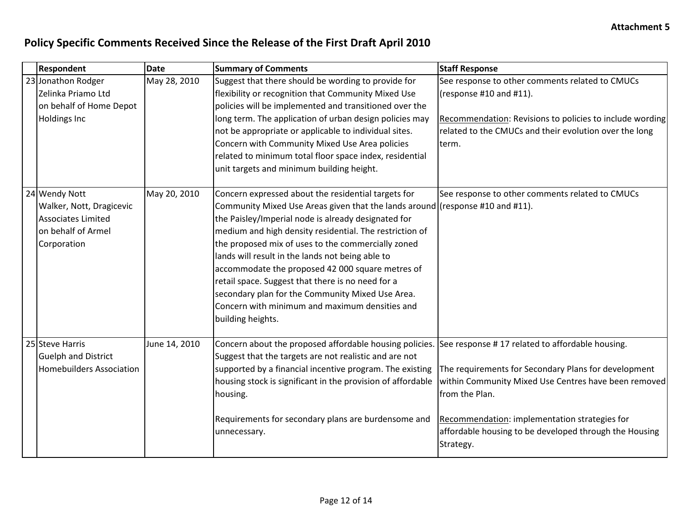| Respondent                                                                                           | <b>Date</b>   | <b>Summary of Comments</b>                                                                                                                                                                                                                                                                                                                                                                                                                                                                                                                                                                           | <b>Staff Response</b>                                                                                                                                                                                                                                  |
|------------------------------------------------------------------------------------------------------|---------------|------------------------------------------------------------------------------------------------------------------------------------------------------------------------------------------------------------------------------------------------------------------------------------------------------------------------------------------------------------------------------------------------------------------------------------------------------------------------------------------------------------------------------------------------------------------------------------------------------|--------------------------------------------------------------------------------------------------------------------------------------------------------------------------------------------------------------------------------------------------------|
| 23 Jonathon Rodger<br>Zelinka Priamo Ltd<br>on behalf of Home Depot<br><b>Holdings Inc</b>           | May 28, 2010  | Suggest that there should be wording to provide for<br>flexibility or recognition that Community Mixed Use<br>policies will be implemented and transitioned over the<br>long term. The application of urban design policies may<br>not be appropriate or applicable to individual sites.<br>Concern with Community Mixed Use Area policies<br>related to minimum total floor space index, residential<br>unit targets and minimum building height.                                                                                                                                                   | See response to other comments related to CMUCs<br>(response #10 and #11).<br>Recommendation: Revisions to policies to include wording<br>related to the CMUCs and their evolution over the long<br>term.                                              |
| 24 Wendy Nott<br>Walker, Nott, Dragicevic<br>Associates Limited<br>on behalf of Armel<br>Corporation | May 20, 2010  | Concern expressed about the residential targets for<br>Community Mixed Use Areas given that the lands around (response #10 and #11).<br>the Paisley/Imperial node is already designated for<br>medium and high density residential. The restriction of<br>the proposed mix of uses to the commercially zoned<br>lands will result in the lands not being able to<br>accommodate the proposed 42 000 square metres of<br>retail space. Suggest that there is no need for a<br>secondary plan for the Community Mixed Use Area.<br>Concern with minimum and maximum densities and<br>building heights. | See response to other comments related to CMUCs                                                                                                                                                                                                        |
| 25 Steve Harris<br><b>Guelph and District</b><br><b>Homebuilders Association</b>                     | June 14, 2010 | Concern about the proposed affordable housing policies. See response #17 related to affordable housing.<br>Suggest that the targets are not realistic and are not<br>supported by a financial incentive program. The existing<br>housing stock is significant in the provision of affordable<br>housing.<br>Requirements for secondary plans are burdensome and<br>unnecessary.                                                                                                                                                                                                                      | The requirements for Secondary Plans for development<br>within Community Mixed Use Centres have been removed<br>from the Plan.<br>Recommendation: implementation strategies for<br>affordable housing to be developed through the Housing<br>Strategy. |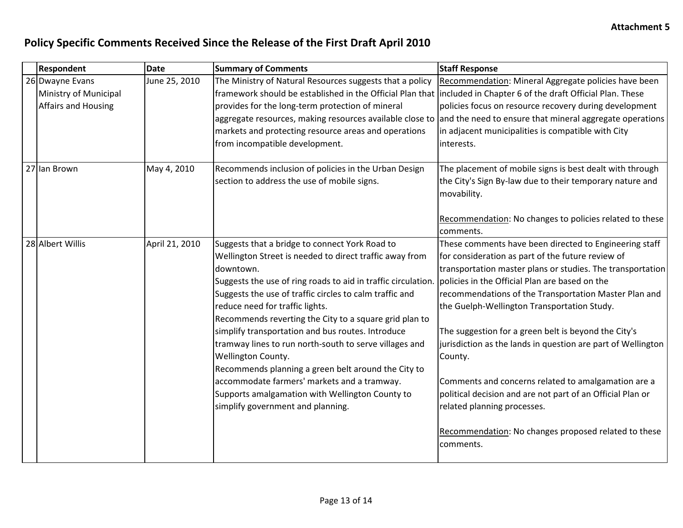| <b>Respondent</b>     | <b>Date</b>    | <b>Summary of Comments</b>                                                                                         | <b>Staff Response</b>                                                                                             |
|-----------------------|----------------|--------------------------------------------------------------------------------------------------------------------|-------------------------------------------------------------------------------------------------------------------|
| 26 Dwayne Evans       | June 25, 2010  | The Ministry of Natural Resources suggests that a policy                                                           | Recommendation: Mineral Aggregate policies have been                                                              |
| Ministry of Municipal |                | framework should be established in the Official Plan that  included in Chapter 6 of the draft Official Plan. These |                                                                                                                   |
| Affairs and Housing   |                | provides for the long-term protection of mineral                                                                   | policies focus on resource recovery during development                                                            |
|                       |                |                                                                                                                    | aggregate resources, making resources available close to and the need to ensure that mineral aggregate operations |
|                       |                | markets and protecting resource areas and operations                                                               | in adjacent municipalities is compatible with City                                                                |
|                       |                | from incompatible development.                                                                                     | interests.                                                                                                        |
|                       |                |                                                                                                                    |                                                                                                                   |
| 27 Ian Brown          | May 4, 2010    | Recommends inclusion of policies in the Urban Design                                                               | The placement of mobile signs is best dealt with through                                                          |
|                       |                | section to address the use of mobile signs.                                                                        | the City's Sign By-law due to their temporary nature and                                                          |
|                       |                |                                                                                                                    | movability.                                                                                                       |
|                       |                |                                                                                                                    |                                                                                                                   |
|                       |                |                                                                                                                    | Recommendation: No changes to policies related to these                                                           |
|                       |                |                                                                                                                    | comments.                                                                                                         |
| 28 Albert Willis      | April 21, 2010 | Suggests that a bridge to connect York Road to                                                                     | These comments have been directed to Engineering staff                                                            |
|                       |                | Wellington Street is needed to direct traffic away from                                                            | for consideration as part of the future review of                                                                 |
|                       |                | downtown.                                                                                                          | transportation master plans or studies. The transportation                                                        |
|                       |                | Suggests the use of ring roads to aid in traffic circulation.   policies in the Official Plan are based on the     |                                                                                                                   |
|                       |                | Suggests the use of traffic circles to calm traffic and                                                            | recommendations of the Transportation Master Plan and                                                             |
|                       |                | reduce need for traffic lights.                                                                                    | the Guelph-Wellington Transportation Study.                                                                       |
|                       |                | Recommends reverting the City to a square grid plan to                                                             |                                                                                                                   |
|                       |                | simplify transportation and bus routes. Introduce                                                                  | The suggestion for a green belt is beyond the City's                                                              |
|                       |                | tramway lines to run north-south to serve villages and                                                             | jurisdiction as the lands in question are part of Wellington                                                      |
|                       |                | Wellington County.                                                                                                 | County.                                                                                                           |
|                       |                | Recommends planning a green belt around the City to                                                                |                                                                                                                   |
|                       |                | accommodate farmers' markets and a tramway.                                                                        | Comments and concerns related to amalgamation are a                                                               |
|                       |                | Supports amalgamation with Wellington County to                                                                    | political decision and are not part of an Official Plan or                                                        |
|                       |                | simplify government and planning.                                                                                  | related planning processes.                                                                                       |
|                       |                |                                                                                                                    |                                                                                                                   |
|                       |                |                                                                                                                    | Recommendation: No changes proposed related to these                                                              |
|                       |                |                                                                                                                    | comments.                                                                                                         |
|                       |                |                                                                                                                    |                                                                                                                   |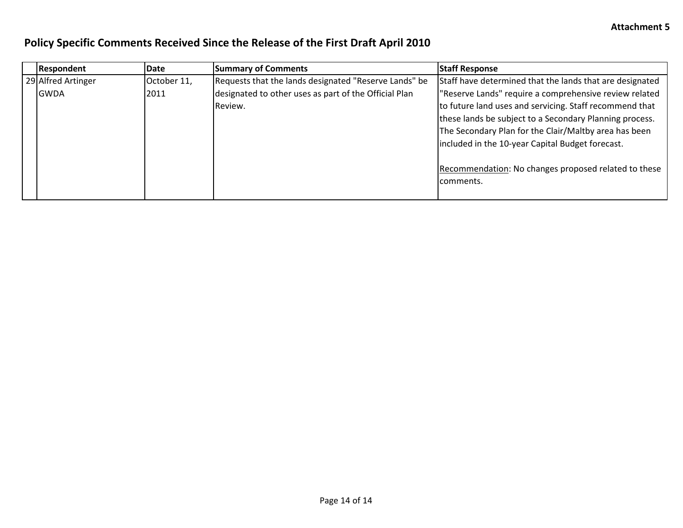| Respondent         | <b>Date</b> | <b>Summary of Comments</b>                            | <b>Staff Response</b>                                    |
|--------------------|-------------|-------------------------------------------------------|----------------------------------------------------------|
| 29 Alfred Artinger | October 11, | Requests that the lands designated "Reserve Lands" be | Staff have determined that the lands that are designated |
| <b>IGWDA</b>       | 2011        | designated to other uses as part of the Official Plan | "Reserve Lands" require a comprehensive review related   |
|                    |             | Review.                                               | to future land uses and servicing. Staff recommend that  |
|                    |             |                                                       | these lands be subject to a Secondary Planning process.  |
|                    |             |                                                       | The Secondary Plan for the Clair/Maltby area has been    |
|                    |             |                                                       | included in the 10-year Capital Budget forecast.         |
|                    |             |                                                       |                                                          |
|                    |             |                                                       | Recommendation: No changes proposed related to these     |
|                    |             |                                                       | comments.                                                |
|                    |             |                                                       |                                                          |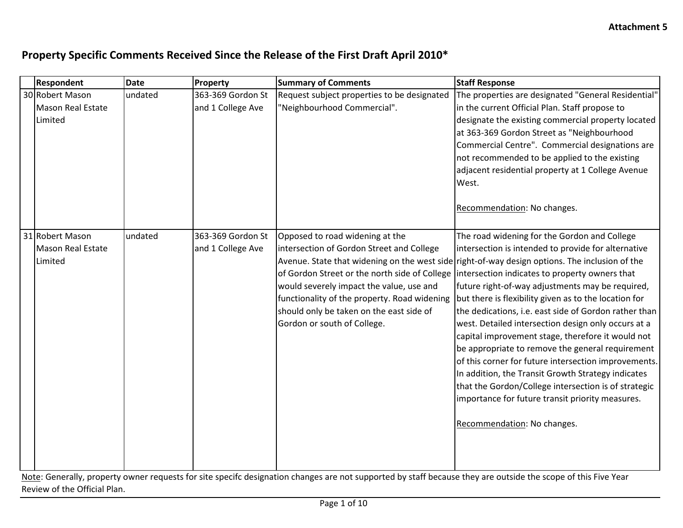| Respondent                                      | <b>Date</b> | Property                               | <b>Summary of Comments</b>                                                                                                                                                                                                                          | <b>Staff Response</b>                                                                                                                                                                                                                                                                                                                                                                                                                                                                                                                                                                                                                                                                                                                                                                                                                                                                                 |
|-------------------------------------------------|-------------|----------------------------------------|-----------------------------------------------------------------------------------------------------------------------------------------------------------------------------------------------------------------------------------------------------|-------------------------------------------------------------------------------------------------------------------------------------------------------------------------------------------------------------------------------------------------------------------------------------------------------------------------------------------------------------------------------------------------------------------------------------------------------------------------------------------------------------------------------------------------------------------------------------------------------------------------------------------------------------------------------------------------------------------------------------------------------------------------------------------------------------------------------------------------------------------------------------------------------|
| 30 Robert Mason<br>Mason Real Estate<br>Limited | undated     | 363-369 Gordon St<br>and 1 College Ave | Request subject properties to be designated<br>"Neighbourhood Commercial".                                                                                                                                                                          | The properties are designated "General Residential"<br>in the current Official Plan. Staff propose to<br>designate the existing commercial property located<br>at 363-369 Gordon Street as "Neighbourhood<br>Commercial Centre". Commercial designations are<br>not recommended to be applied to the existing<br>adjacent residential property at 1 College Avenue<br>West.<br>Recommendation: No changes.                                                                                                                                                                                                                                                                                                                                                                                                                                                                                            |
| 31 Robert Mason<br>Mason Real Estate<br>Limited | undated     | 363-369 Gordon St<br>and 1 College Ave | Opposed to road widening at the<br>intersection of Gordon Street and College<br>would severely impact the value, use and<br>functionality of the property. Road widening<br>should only be taken on the east side of<br>Gordon or south of College. | The road widening for the Gordon and College<br>intersection is intended to provide for alternative<br>Avenue. State that widening on the west side right-of-way design options. The inclusion of the<br>of Gordon Street or the north side of College lintersection indicates to property owners that<br>future right-of-way adjustments may be required,<br>but there is flexibility given as to the location for<br>the dedications, i.e. east side of Gordon rather than<br>west. Detailed intersection design only occurs at a<br>capital improvement stage, therefore it would not<br>be appropriate to remove the general requirement<br>of this corner for future intersection improvements.<br>In addition, the Transit Growth Strategy indicates<br>that the Gordon/College intersection is of strategic<br>importance for future transit priority measures.<br>Recommendation: No changes. |

Note: Generally, property owner requests for site specifc designation changes are not supported by staff because they are outside the scope of this Five Year Review of the Official Plan.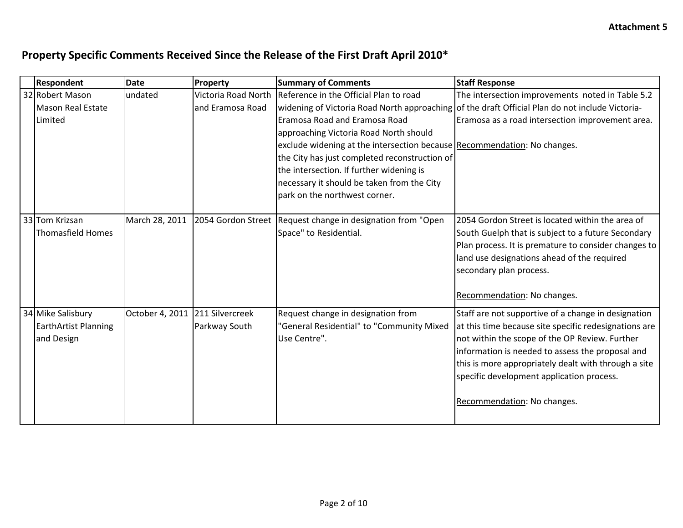| <b>Respondent</b>           | <b>Date</b>                     | Property            | <b>Summary of Comments</b>                                               | <b>Staff Response</b>                                                                           |
|-----------------------------|---------------------------------|---------------------|--------------------------------------------------------------------------|-------------------------------------------------------------------------------------------------|
| 32 Robert Mason             | undated                         | Victoria Road North | Reference in the Official Plan to road                                   | The intersection improvements noted in Table 5.2                                                |
| Mason Real Estate           |                                 | and Eramosa Road    |                                                                          | widening of Victoria Road North approaching of the draft Official Plan do not include Victoria- |
| Limited                     |                                 |                     | Eramosa Road and Eramosa Road                                            | Eramosa as a road intersection improvement area.                                                |
|                             |                                 |                     | approaching Victoria Road North should                                   |                                                                                                 |
|                             |                                 |                     | exclude widening at the intersection because Recommendation: No changes. |                                                                                                 |
|                             |                                 |                     | the City has just completed reconstruction of                            |                                                                                                 |
|                             |                                 |                     | the intersection. If further widening is                                 |                                                                                                 |
|                             |                                 |                     | necessary it should be taken from the City                               |                                                                                                 |
|                             |                                 |                     | park on the northwest corner.                                            |                                                                                                 |
|                             |                                 |                     |                                                                          |                                                                                                 |
| 33 Tom Krizsan              | March 28, 2011                  |                     | 2054 Gordon Street   Request change in designation from "Open            | 2054 Gordon Street is located within the area of                                                |
| Thomasfield Homes           |                                 |                     | Space" to Residential.                                                   | South Guelph that is subject to a future Secondary                                              |
|                             |                                 |                     |                                                                          | Plan process. It is premature to consider changes to                                            |
|                             |                                 |                     |                                                                          | land use designations ahead of the required                                                     |
|                             |                                 |                     |                                                                          | secondary plan process.                                                                         |
|                             |                                 |                     |                                                                          | Recommendation: No changes.                                                                     |
|                             |                                 |                     |                                                                          |                                                                                                 |
| 34 Mike Salisbury           | October 4, 2011 211 Silvercreek |                     | Request change in designation from                                       | Staff are not supportive of a change in designation                                             |
| <b>EarthArtist Planning</b> |                                 | Parkway South       | "General Residential" to "Community Mixed                                | at this time because site specific redesignations are                                           |
| and Design                  |                                 |                     | Use Centre".                                                             | not within the scope of the OP Review. Further                                                  |
|                             |                                 |                     |                                                                          | information is needed to assess the proposal and                                                |
|                             |                                 |                     |                                                                          | this is more appropriately dealt with through a site                                            |
|                             |                                 |                     |                                                                          | specific development application process.                                                       |
|                             |                                 |                     |                                                                          |                                                                                                 |
|                             |                                 |                     |                                                                          | Recommendation: No changes.                                                                     |
|                             |                                 |                     |                                                                          |                                                                                                 |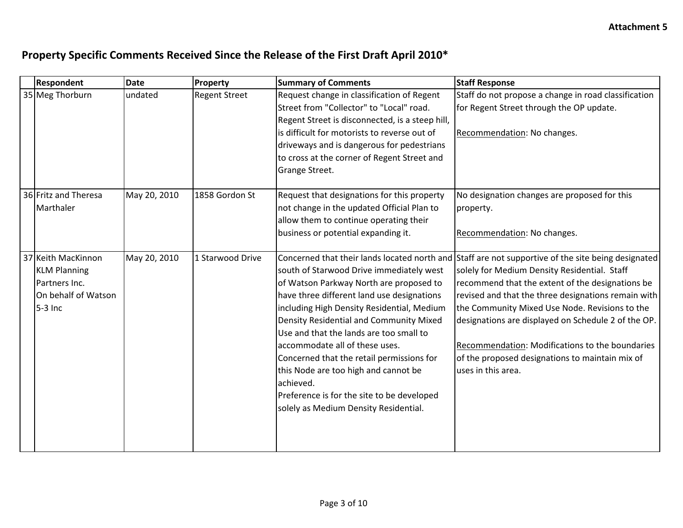| <b>Respondent</b>    | <b>Date</b>  | Property             | <b>Summary of Comments</b>                      | <b>Staff Response</b>                                                                              |
|----------------------|--------------|----------------------|-------------------------------------------------|----------------------------------------------------------------------------------------------------|
| 35 Meg Thorburn      | undated      | <b>Regent Street</b> | Request change in classification of Regent      | Staff do not propose a change in road classification                                               |
|                      |              |                      | Street from "Collector" to "Local" road.        | for Regent Street through the OP update.                                                           |
|                      |              |                      | Regent Street is disconnected, is a steep hill, |                                                                                                    |
|                      |              |                      | is difficult for motorists to reverse out of    | Recommendation: No changes.                                                                        |
|                      |              |                      | driveways and is dangerous for pedestrians      |                                                                                                    |
|                      |              |                      | to cross at the corner of Regent Street and     |                                                                                                    |
|                      |              |                      | Grange Street.                                  |                                                                                                    |
|                      |              |                      |                                                 |                                                                                                    |
| 36 Fritz and Theresa | May 20, 2010 | 1858 Gordon St       | Request that designations for this property     | No designation changes are proposed for this                                                       |
| Marthaler            |              |                      | not change in the updated Official Plan to      | property.                                                                                          |
|                      |              |                      | allow them to continue operating their          |                                                                                                    |
|                      |              |                      | business or potential expanding it.             | Recommendation: No changes.                                                                        |
|                      |              |                      |                                                 |                                                                                                    |
| 37 Keith MacKinnon   | May 20, 2010 | 1 Starwood Drive     |                                                 | Concerned that their lands located north and Staff are not supportive of the site being designated |
| <b>KLM Planning</b>  |              |                      | south of Starwood Drive immediately west        | solely for Medium Density Residential. Staff                                                       |
| Partners Inc.        |              |                      | of Watson Parkway North are proposed to         | recommend that the extent of the designations be                                                   |
| On behalf of Watson  |              |                      | have three different land use designations      | revised and that the three designations remain with                                                |
| 5-3 Inc              |              |                      | including High Density Residential, Medium      | the Community Mixed Use Node. Revisions to the                                                     |
|                      |              |                      | Density Residential and Community Mixed         | designations are displayed on Schedule 2 of the OP.                                                |
|                      |              |                      | Use and that the lands are too small to         |                                                                                                    |
|                      |              |                      | accommodate all of these uses.                  | Recommendation: Modifications to the boundaries                                                    |
|                      |              |                      | Concerned that the retail permissions for       | of the proposed designations to maintain mix of                                                    |
|                      |              |                      | this Node are too high and cannot be            | uses in this area.                                                                                 |
|                      |              |                      | achieved.                                       |                                                                                                    |
|                      |              |                      | Preference is for the site to be developed      |                                                                                                    |
|                      |              |                      | solely as Medium Density Residential.           |                                                                                                    |
|                      |              |                      |                                                 |                                                                                                    |
|                      |              |                      |                                                 |                                                                                                    |
|                      |              |                      |                                                 |                                                                                                    |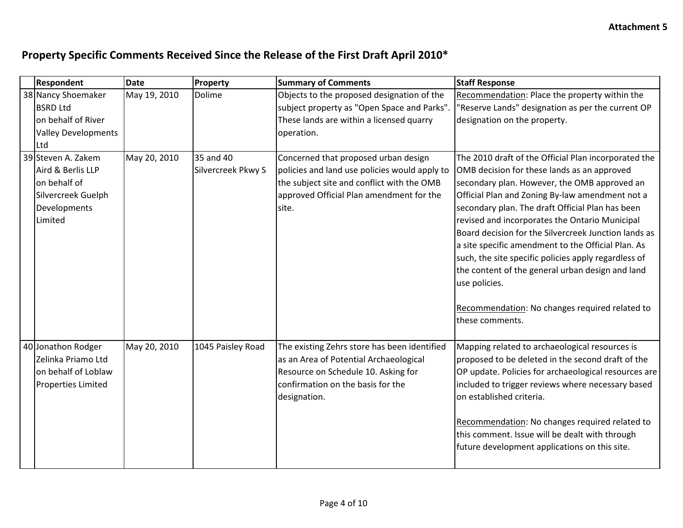| <b>Respondent</b>          | <b>Date</b>  | Property           | <b>Summary of Comments</b>                    | <b>Staff Response</b>                                |
|----------------------------|--------------|--------------------|-----------------------------------------------|------------------------------------------------------|
| 38 Nancy Shoemaker         | May 19, 2010 | Dolime             | Objects to the proposed designation of the    | Recommendation: Place the property within the        |
| <b>BSRD Ltd</b>            |              |                    | subject property as "Open Space and Parks".   | "Reserve Lands" designation as per the current OP    |
| on behalf of River         |              |                    | These lands are within a licensed quarry      | designation on the property.                         |
| <b>Valley Developments</b> |              |                    | operation.                                    |                                                      |
| Ltd                        |              |                    |                                               |                                                      |
| 39 Steven A. Zakem         | May 20, 2010 | 35 and 40          | Concerned that proposed urban design          | The 2010 draft of the Official Plan incorporated the |
| Aird & Berlis LLP          |              | Silvercreek Pkwy S | policies and land use policies would apply to | OMB decision for these lands as an approved          |
| on behalf of               |              |                    | the subject site and conflict with the OMB    | secondary plan. However, the OMB approved an         |
| Silvercreek Guelph         |              |                    | approved Official Plan amendment for the      | Official Plan and Zoning By-law amendment not a      |
| Developments               |              |                    | site.                                         | secondary plan. The draft Official Plan has been     |
| Limited                    |              |                    |                                               | revised and incorporates the Ontario Municipal       |
|                            |              |                    |                                               | Board decision for the Silvercreek Junction lands as |
|                            |              |                    |                                               | a site specific amendment to the Official Plan. As   |
|                            |              |                    |                                               | such, the site specific policies apply regardless of |
|                            |              |                    |                                               | the content of the general urban design and land     |
|                            |              |                    |                                               | use policies.                                        |
|                            |              |                    |                                               |                                                      |
|                            |              |                    |                                               | Recommendation: No changes required related to       |
|                            |              |                    |                                               | these comments.                                      |
|                            |              |                    |                                               |                                                      |
| 40 Jonathon Rodger         | May 20, 2010 | 1045 Paisley Road  | The existing Zehrs store has been identified  | Mapping related to archaeological resources is       |
| Zelinka Priamo Ltd         |              |                    | as an Area of Potential Archaeological        | proposed to be deleted in the second draft of the    |
| on behalf of Loblaw        |              |                    | Resource on Schedule 10. Asking for           | OP update. Policies for archaeological resources are |
| Properties Limited         |              |                    | confirmation on the basis for the             | included to trigger reviews where necessary based    |
|                            |              |                    | designation.                                  | on established criteria.                             |
|                            |              |                    |                                               |                                                      |
|                            |              |                    |                                               | Recommendation: No changes required related to       |
|                            |              |                    |                                               | this comment. Issue will be dealt with through       |
|                            |              |                    |                                               | future development applications on this site.        |
|                            |              |                    |                                               |                                                      |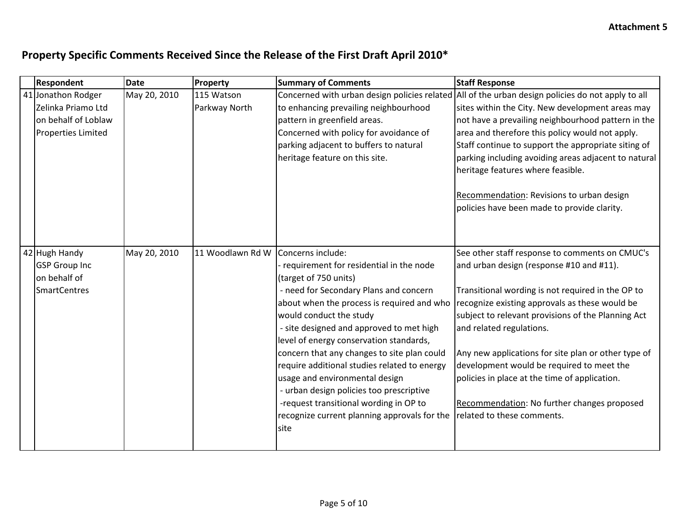| <b>Respondent</b>         | <b>Date</b>  | Property         | <b>Summary of Comments</b>                   | <b>Staff Response</b>                                                                             |
|---------------------------|--------------|------------------|----------------------------------------------|---------------------------------------------------------------------------------------------------|
| 41 Jonathon Rodger        | May 20, 2010 | 115 Watson       |                                              | Concerned with urban design policies related All of the urban design policies do not apply to all |
| Zelinka Priamo Ltd        |              | Parkway North    | to enhancing prevailing neighbourhood        | sites within the City. New development areas may                                                  |
| on behalf of Loblaw       |              |                  | pattern in greenfield areas.                 | not have a prevailing neighbourhood pattern in the                                                |
| <b>Properties Limited</b> |              |                  | Concerned with policy for avoidance of       | area and therefore this policy would not apply.                                                   |
|                           |              |                  | parking adjacent to buffers to natural       | Staff continue to support the appropriate siting of                                               |
|                           |              |                  | heritage feature on this site.               | parking including avoiding areas adjacent to natural                                              |
|                           |              |                  |                                              | heritage features where feasible.                                                                 |
|                           |              |                  |                                              | Recommendation: Revisions to urban design                                                         |
|                           |              |                  |                                              | policies have been made to provide clarity.                                                       |
|                           |              |                  |                                              |                                                                                                   |
|                           |              |                  |                                              |                                                                                                   |
| 42 Hugh Handy             | May 20, 2010 | 11 Woodlawn Rd W | Concerns include:                            | See other staff response to comments on CMUC's                                                    |
| <b>GSP Group Inc</b>      |              |                  | - requirement for residential in the node    | and urban design (response #10 and #11).                                                          |
| on behalf of              |              |                  | (target of 750 units)                        |                                                                                                   |
| <b>SmartCentres</b>       |              |                  | - need for Secondary Plans and concern       | Transitional wording is not required in the OP to                                                 |
|                           |              |                  | about when the process is required and who   | recognize existing approvals as these would be                                                    |
|                           |              |                  | would conduct the study                      | subject to relevant provisions of the Planning Act                                                |
|                           |              |                  | - site designed and approved to met high     | and related regulations.                                                                          |
|                           |              |                  | level of energy conservation standards,      |                                                                                                   |
|                           |              |                  | concern that any changes to site plan could  | Any new applications for site plan or other type of                                               |
|                           |              |                  | require additional studies related to energy | development would be required to meet the                                                         |
|                           |              |                  | usage and environmental design               | policies in place at the time of application.                                                     |
|                           |              |                  | - urban design policies too prescriptive     |                                                                                                   |
|                           |              |                  | -request transitional wording in OP to       | Recommendation: No further changes proposed                                                       |
|                           |              |                  | recognize current planning approvals for the | related to these comments.                                                                        |
|                           |              |                  | site                                         |                                                                                                   |
|                           |              |                  |                                              |                                                                                                   |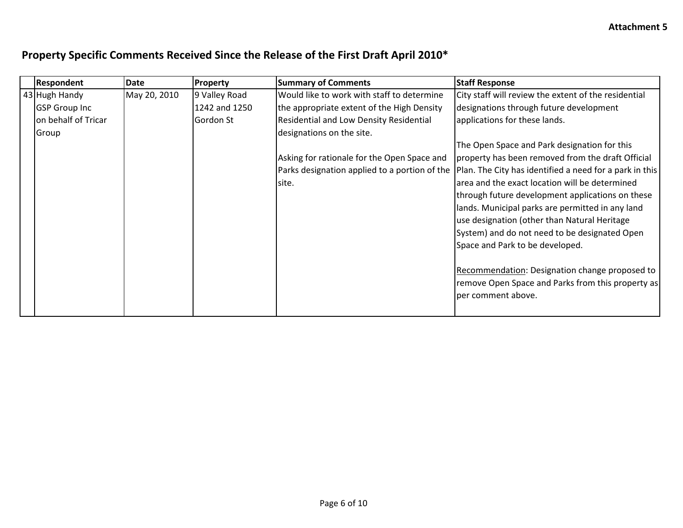| <b>Respondent</b>    | <b>Date</b>  | Property      | <b>Summary of Comments</b>                     | <b>Staff Response</b>                                   |
|----------------------|--------------|---------------|------------------------------------------------|---------------------------------------------------------|
| 43 Hugh Handy        | May 20, 2010 | 9 Valley Road | Would like to work with staff to determine     | City staff will review the extent of the residential    |
| <b>GSP</b> Group Inc |              | 1242 and 1250 | the appropriate extent of the High Density     | designations through future development                 |
| on behalf of Tricar  |              | Gordon St     | <b>Residential and Low Density Residential</b> | applications for these lands.                           |
| Group                |              |               | designations on the site.                      |                                                         |
|                      |              |               |                                                | The Open Space and Park designation for this            |
|                      |              |               | Asking for rationale for the Open Space and    | property has been removed from the draft Official       |
|                      |              |               | Parks designation applied to a portion of the  | Plan. The City has identified a need for a park in this |
|                      |              |               | site.                                          | larea and the exact location will be determined         |
|                      |              |               |                                                | through future development applications on these        |
|                      |              |               |                                                | lands. Municipal parks are permitted in any land        |
|                      |              |               |                                                | use designation (other than Natural Heritage            |
|                      |              |               |                                                | System) and do not need to be designated Open           |
|                      |              |               |                                                | Space and Park to be developed.                         |
|                      |              |               |                                                |                                                         |
|                      |              |               |                                                | Recommendation: Designation change proposed to          |
|                      |              |               |                                                | remove Open Space and Parks from this property as       |
|                      |              |               |                                                | per comment above.                                      |
|                      |              |               |                                                |                                                         |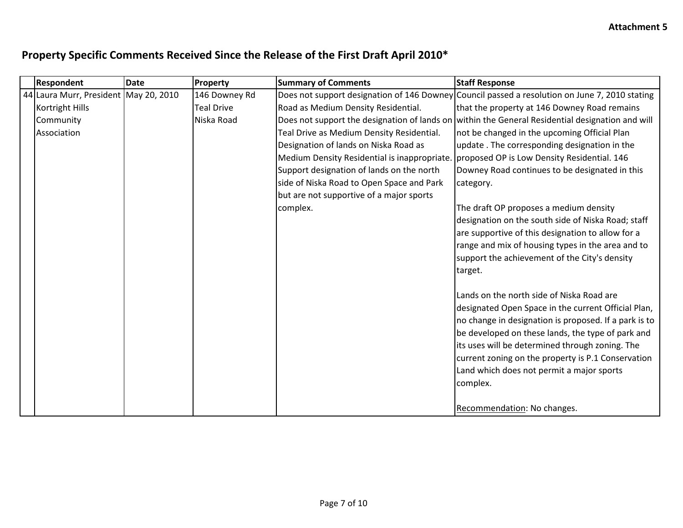| <b>Respondent</b>                     | <b>Date</b> | Property          | <b>Summary of Comments</b>                   | <b>Staff Response</b>                                                                            |
|---------------------------------------|-------------|-------------------|----------------------------------------------|--------------------------------------------------------------------------------------------------|
| 44 Laura Murr, President May 20, 2010 |             | 146 Downey Rd     |                                              | Does not support designation of 146 Downey Council passed a resolution on June 7, 2010 stating   |
| Kortright Hills                       |             | <b>Teal Drive</b> | Road as Medium Density Residential.          | that the property at 146 Downey Road remains                                                     |
| Community                             |             | Niska Road        |                                              | Does not support the designation of lands on within the General Residential designation and will |
| Association                           |             |                   | Teal Drive as Medium Density Residential.    | not be changed in the upcoming Official Plan                                                     |
|                                       |             |                   | Designation of lands on Niska Road as        | update. The corresponding designation in the                                                     |
|                                       |             |                   | Medium Density Residential is inappropriate. | proposed OP is Low Density Residential. 146                                                      |
|                                       |             |                   | Support designation of lands on the north    | Downey Road continues to be designated in this                                                   |
|                                       |             |                   | side of Niska Road to Open Space and Park    | category.                                                                                        |
|                                       |             |                   | but are not supportive of a major sports     |                                                                                                  |
|                                       |             |                   | complex.                                     | The draft OP proposes a medium density                                                           |
|                                       |             |                   |                                              | designation on the south side of Niska Road; staff                                               |
|                                       |             |                   |                                              | are supportive of this designation to allow for a                                                |
|                                       |             |                   |                                              | range and mix of housing types in the area and to                                                |
|                                       |             |                   |                                              | support the achievement of the City's density                                                    |
|                                       |             |                   |                                              | target.                                                                                          |
|                                       |             |                   |                                              |                                                                                                  |
|                                       |             |                   |                                              | Lands on the north side of Niska Road are                                                        |
|                                       |             |                   |                                              | designated Open Space in the current Official Plan,                                              |
|                                       |             |                   |                                              | no change in designation is proposed. If a park is to                                            |
|                                       |             |                   |                                              | be developed on these lands, the type of park and                                                |
|                                       |             |                   |                                              | its uses will be determined through zoning. The                                                  |
|                                       |             |                   |                                              | current zoning on the property is P.1 Conservation                                               |
|                                       |             |                   |                                              | Land which does not permit a major sports                                                        |
|                                       |             |                   |                                              | complex.                                                                                         |
|                                       |             |                   |                                              |                                                                                                  |
|                                       |             |                   |                                              | Recommendation: No changes.                                                                      |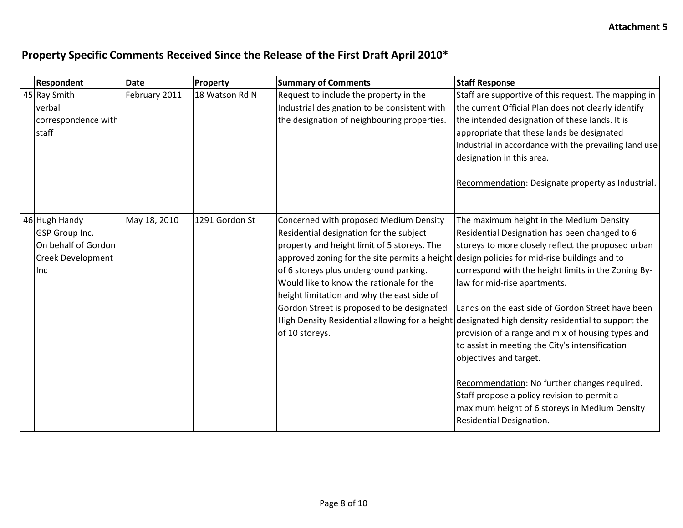| <b>Respondent</b>        | <b>Date</b>   | Property       | <b>Summary of Comments</b>                                                                  | <b>Staff Response</b>                                                                             |
|--------------------------|---------------|----------------|---------------------------------------------------------------------------------------------|---------------------------------------------------------------------------------------------------|
| 45 Ray Smith             | February 2011 | 18 Watson Rd N | Request to include the property in the                                                      | Staff are supportive of this request. The mapping in                                              |
| verbal                   |               |                | Industrial designation to be consistent with                                                | the current Official Plan does not clearly identify                                               |
| correspondence with      |               |                | the designation of neighbouring properties.                                                 | the intended designation of these lands. It is                                                    |
| staff                    |               |                |                                                                                             | appropriate that these lands be designated                                                        |
|                          |               |                |                                                                                             | Industrial in accordance with the prevailing land use                                             |
|                          |               |                |                                                                                             | designation in this area.                                                                         |
|                          |               |                |                                                                                             |                                                                                                   |
|                          |               |                |                                                                                             | Recommendation: Designate property as Industrial.                                                 |
|                          |               |                |                                                                                             |                                                                                                   |
|                          |               |                |                                                                                             |                                                                                                   |
| 46 Hugh Handy            | May 18, 2010  | 1291 Gordon St | Concerned with proposed Medium Density                                                      | The maximum height in the Medium Density                                                          |
| <b>GSP</b> Group Inc.    |               |                | Residential designation for the subject                                                     | Residential Designation has been changed to 6                                                     |
| On behalf of Gordon      |               |                | property and height limit of 5 storeys. The                                                 | storeys to more closely reflect the proposed urban                                                |
| <b>Creek Development</b> |               |                | approved zoning for the site permits a height design policies for mid-rise buildings and to |                                                                                                   |
| <b>l</b> inc             |               |                | of 6 storeys plus underground parking.                                                      | correspond with the height limits in the Zoning By-                                               |
|                          |               |                | Would like to know the rationale for the                                                    | law for mid-rise apartments.                                                                      |
|                          |               |                | height limitation and why the east side of                                                  |                                                                                                   |
|                          |               |                | Gordon Street is proposed to be designated                                                  | Lands on the east side of Gordon Street have been                                                 |
|                          |               |                |                                                                                             | High Density Residential allowing for a height designated high density residential to support the |
|                          |               |                | of 10 storeys.                                                                              | provision of a range and mix of housing types and                                                 |
|                          |               |                |                                                                                             | to assist in meeting the City's intensification                                                   |
|                          |               |                |                                                                                             | objectives and target.                                                                            |
|                          |               |                |                                                                                             |                                                                                                   |
|                          |               |                |                                                                                             | Recommendation: No further changes required.                                                      |
|                          |               |                |                                                                                             | Staff propose a policy revision to permit a                                                       |
|                          |               |                |                                                                                             | maximum height of 6 storeys in Medium Density                                                     |
|                          |               |                |                                                                                             | Residential Designation.                                                                          |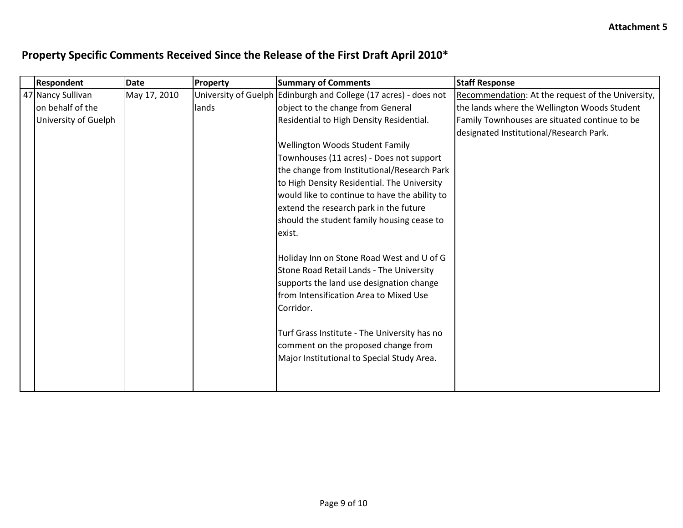| <b>Respondent</b>    | <b>Date</b>  | Property | <b>Summary of Comments</b>                                       | <b>Staff Response</b>                             |
|----------------------|--------------|----------|------------------------------------------------------------------|---------------------------------------------------|
| 47 Nancy Sullivan    | May 17, 2010 |          | University of Guelph Edinburgh and College (17 acres) - does not | Recommendation: At the request of the University, |
| on behalf of the     |              | lands    | object to the change from General                                | the lands where the Wellington Woods Student      |
| University of Guelph |              |          | Residential to High Density Residential.                         | Family Townhouses are situated continue to be     |
|                      |              |          |                                                                  | designated Institutional/Research Park.           |
|                      |              |          | Wellington Woods Student Family                                  |                                                   |
|                      |              |          | Townhouses (11 acres) - Does not support                         |                                                   |
|                      |              |          | the change from Institutional/Research Park                      |                                                   |
|                      |              |          | to High Density Residential. The University                      |                                                   |
|                      |              |          | would like to continue to have the ability to                    |                                                   |
|                      |              |          | extend the research park in the future                           |                                                   |
|                      |              |          | should the student family housing cease to                       |                                                   |
|                      |              |          | exist.                                                           |                                                   |
|                      |              |          |                                                                  |                                                   |
|                      |              |          | Holiday Inn on Stone Road West and U of G                        |                                                   |
|                      |              |          | Stone Road Retail Lands - The University                         |                                                   |
|                      |              |          | supports the land use designation change                         |                                                   |
|                      |              |          | from Intensification Area to Mixed Use                           |                                                   |
|                      |              |          | Corridor.                                                        |                                                   |
|                      |              |          |                                                                  |                                                   |
|                      |              |          | Turf Grass Institute - The University has no                     |                                                   |
|                      |              |          | comment on the proposed change from                              |                                                   |
|                      |              |          | Major Institutional to Special Study Area.                       |                                                   |
|                      |              |          |                                                                  |                                                   |
|                      |              |          |                                                                  |                                                   |